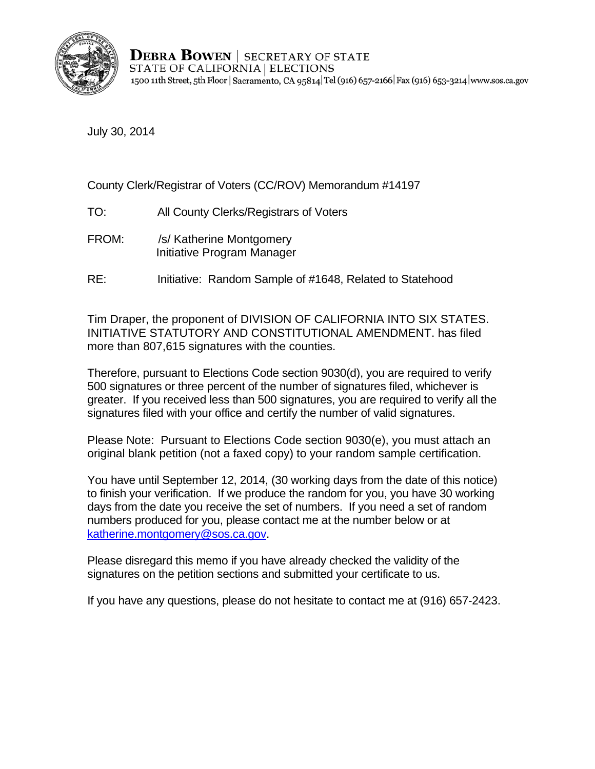

**DEBRA BOWEN** SECRETARY OF STATE STATE OF CALIFORNIA | ELECTIONS 1500 11th Street, 5th Floor | Sacramento, CA 95814 Tel (916) 657-2166 | Fax (916) 653-3214 | www.sos.ca.gov

July 30, 2014

County Clerk/Registrar of Voters (CC/ROV) Memorandum #14197

- TO: All County Clerks/Registrars of Voters
- FROM: /s/ Katherine Montgomery Initiative Program Manager
- RE: Initiative: Random Sample of #1648, Related to Statehood

Tim Draper, the proponent of DIVISION OF CALIFORNIA INTO SIX STATES. INITIATIVE STATUTORY AND CONSTITUTIONAL AMENDMENT. has filed more than 807,615 signatures with the counties.

Therefore, pursuant to Elections Code section 9030(d), you are required to verify 500 signatures or three percent of the number of signatures filed, whichever is greater. If you received less than 500 signatures, you are required to verify all the signatures filed with your office and certify the number of valid signatures.

Please Note: Pursuant to Elections Code section 9030(e), you must attach an original blank petition (not a faxed copy) to your random sample certification.

You have until September 12, 2014, (30 working days from the date of this notice) to finish your verification. If we produce the random for you, you have 30 working days from the date you receive the set of numbers. If you need a set of random numbers produced for you, please contact me at the number below or at katherine.montgomery@sos.ca.gov.

Please disregard this memo if you have already checked the validity of the signatures on the petition sections and submitted your certificate to us.

If you have any questions, please do not hesitate to contact me at (916) 657-2423.